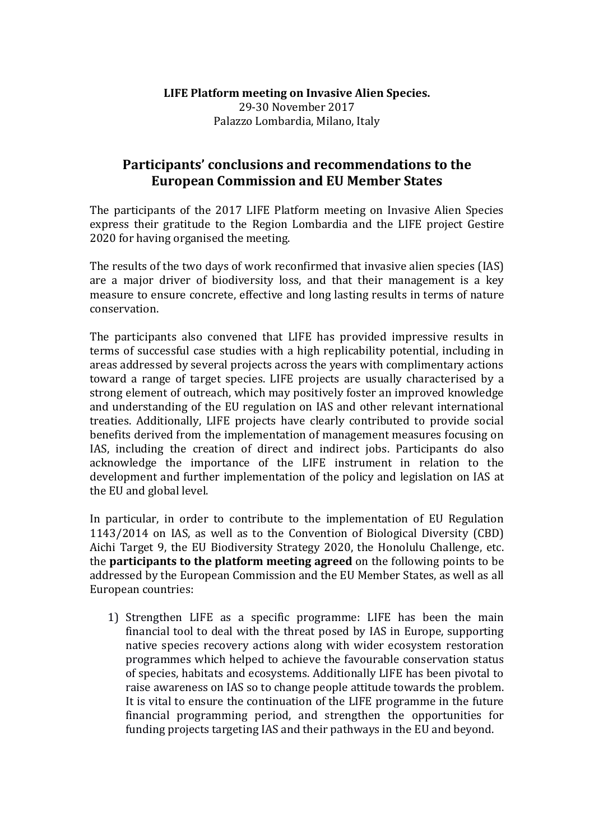## **Participants' conclusions and recommendations to the European Commission and EU Member States**

The participants of the 2017 LIFE Platform meeting on Invasive Alien Species express their gratitude to the Region Lombardia and the LIFE project Gestire 2020 for having organised the meeting.

The results of the two days of work reconfirmed that invasive alien species (IAS) are a major driver of biodiversity loss, and that their management is a key measure to ensure concrete, effective and long lasting results in terms of nature conservation.

The participants also convened that LIFE has provided impressive results in terms of successful case studies with a high replicability potential, including in areas addressed by several projects across the years with complimentary actions toward a range of target species. LIFE projects are usually characterised by a strong element of outreach, which may positively foster an improved knowledge and understanding of the EU regulation on IAS and other relevant international treaties. Additionally, LIFE projects have clearly contributed to provide social benefits derived from the implementation of management measures focusing on IAS, including the creation of direct and indirect jobs. Participants do also acknowledge the importance of the LIFE instrument in relation to the development and further implementation of the policy and legislation on IAS at the EU and global level.

In particular, in order to contribute to the implementation of EU Regulation 1143/2014 on IAS, as well as to the Convention of Biological Diversity (CBD) Aichi Target 9, the EU Biodiversity Strategy 2020, the Honolulu Challenge, etc. the **participants to the platform meeting agreed** on the following points to be addressed by the European Commission and the EU Member States, as well as all European countries:

1) Strengthen LIFE as a specific programme: LIFE has been the main financial tool to deal with the threat posed by IAS in Europe, supporting native species recovery actions along with wider ecosystem restoration programmes which helped to achieve the favourable conservation status of species, habitats and ecosystems. Additionally LIFE has been pivotal to raise awareness on IAS so to change people attitude towards the problem. It is vital to ensure the continuation of the LIFE programme in the future financial programming period, and strengthen the opportunities for funding projects targeting IAS and their pathways in the EU and beyond.